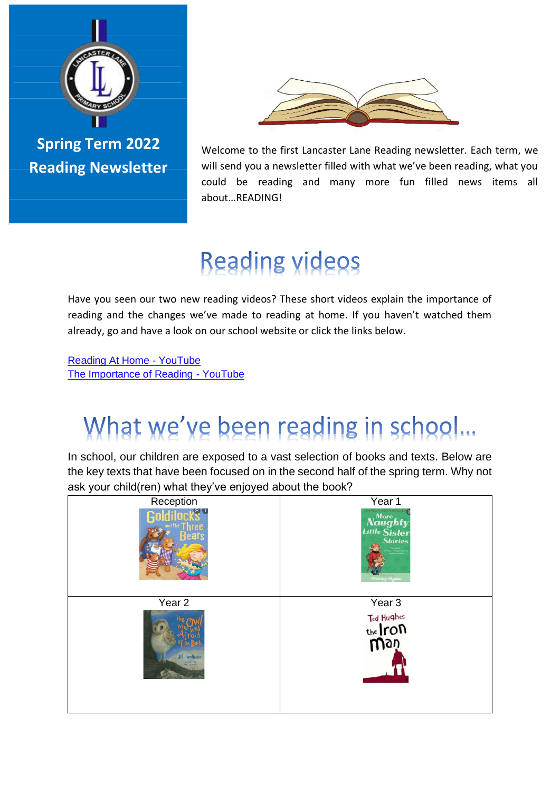

**Spring Term 2022 Reading Newsletter**



Welcome to the first Lancaster Lane Reading newsletter. Each term, we will send you a newsletter filled with what we've been reading, what you could be reading and many more fun filled news items all about…READING!

# **Reading videos**

Have you seen our two new reading videos? These short videos explain the importance of reading and the changes we've made to reading at home. If you haven't watched them already, go and have a look on our school website or click the links below.

[Reading At Home -](https://www.youtube.com/watch?v=Hp9REWs5Bj0) YouTube [The Importance of Reading -](https://www.youtube.com/watch?v=xlG4scrk3Vk) YouTube

## What we've been reading in school...

In school, our children are exposed to a vast selection of books and texts. Below are the key texts that have been focused on in the second half of the spring term. Why not ask your child(ren) what they've enjoyed about the book?

| Reception                                            | Year 1                                                 |
|------------------------------------------------------|--------------------------------------------------------|
| RH K                                                 | o<br>Naughty<br>Little Sister<br>Stories<br>tey Hugher |
| Year <sub>2</sub>                                    | Year <sub>3</sub>                                      |
| <b>Jill Tomlinson</b><br>Marcraced by<br>Pral Howard | Ted Hughes<br>the <i>Iron</i>                          |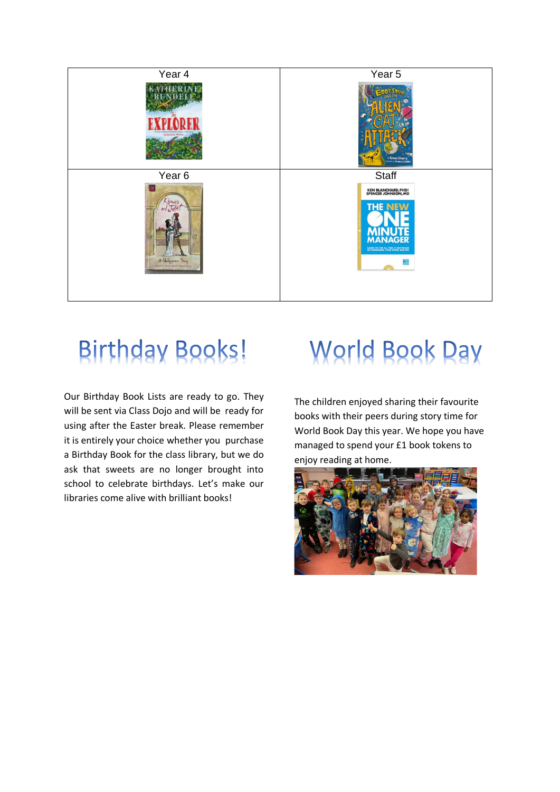

#### **Birthday Books!**

Our Birthday Book Lists are ready to go. They will be sent via Class Dojo and will be ready for using after the Easter break. Please remember it is entirely your choice whether you purchase a Birthday Book for the class library, but we do ask that sweets are no longer brought into school to celebrate birthdays. Let's make our libraries come alive with brilliant books!

## **World Book Day**

The children enjoyed sharing their favourite books with their peers during story time for World Book Day this year. We hope you have managed to spend your £1 book tokens to enjoy reading at home.

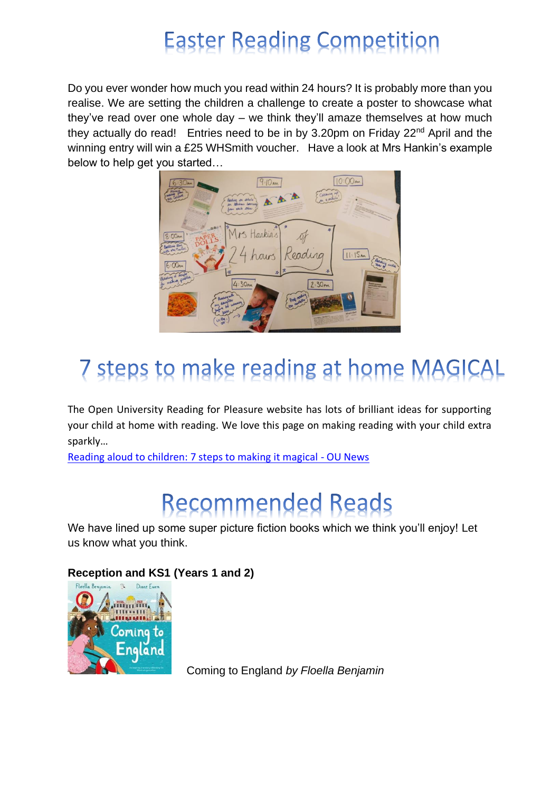## **Easter Reading Competition**

Do you ever wonder how much you read within 24 hours? It is probably more than you realise. We are setting the children a challenge to create a poster to showcase what they've read over one whole day – we think they'll amaze themselves at how much they actually do read! Entries need to be in by 3.20pm on Friday 22<sup>nd</sup> April and the winning entry will win a £25 WHSmith voucher. Have a look at Mrs Hankin's example below to help get you started…



## 7 steps to make reading at home MAGICAL

The Open University Reading for Pleasure website has lots of brilliant ideas for supporting your child at home with reading. We love this page on making reading with your child extra sparkly…

[Reading aloud to children: 7 steps to making it magical -](https://ounews.co/education-languages-health/childhood-youth/reading-with-children-7-steps-to-making-it-magical/) OU News

## **Recommended Reads**

We have lined up some super picture fiction books which we think you'll enjoy! Let us know what you think.

#### **Reception and KS1 (Years 1 and 2)**



Coming to England *by Floella Benjamin*